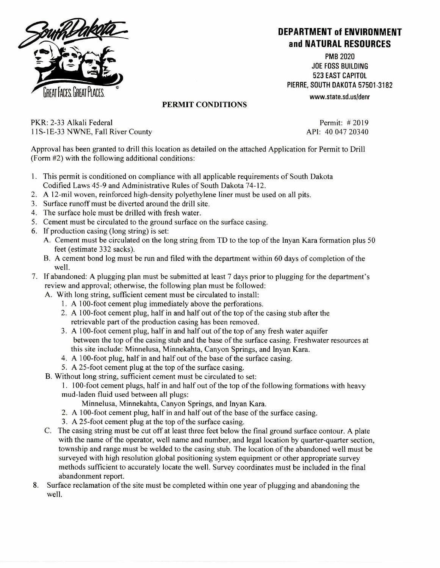

## **DEPARTMENT of ENVIRONMENT and NATURAL RESOURCES**

PMB 2020 JOE FOSS BUILDING 523 EAST CAPITOL PIERRE, SOUTH DAKOTA 57501-3182

## www.state.sd.usidenr

## PERMIT CONDITIONS

PKR: 2-33 Alkali Federal 11S-1E-33 NWNE, Fall River County API: 40 047 20340

Permit: # 2019

Approval has been granted to drill this location as detailed on the attached Application for Permit to Drill (Form #2) with the following additional conditions:

- 1. This permit is conditioned on compliance with all applicable requirements of South Dakota Codified Laws 45-9 and Administrative Rules of South Dakota 74-12.
- 2. A 12-mil woven, reinforced high-density polyethylene liner must be used on all pits.
- 3. Surface runoff must be diverted around the drill site.
- 4. The surface hole must be drilled with fresh water.
- 5. Cement must be circulated to the ground surface on the surface casing.
- 6. If production casing (long string) is set:
	- A. Cement must be circulated on the long string from TD to the top of the Inyan Kara formation plus 50 feet (estimate 332 sacks).
	- B. A cement bond log must be run and filed with the department within 60 days of completion of the well.
- 7. If abandoned: A plugging plan must be submitted at least 7 days prior to plugging for the department's review and approval; otherwise, the following plan must be followed:
	- A. With long string, sufficient cement must be circulated to install:
		- 1. A 100-foot cement plug immediately above the perforations.
		- 2. A 100-foot cement plug, half in and half out of the top of the casing stub after the retrievable part of the production casing has been removed.
		- 3. A 100-foot cement plug, half in and half out of the top of any fresh water aquifer between the top of the casing stub and the base of the surface casing. Freshwater resources at this site include: Minnelusa, Minnekahta, Canyon Springs, and Inyan Kara.
		- 4. A 100-foot plug, half in and half out of the base of the surface casing.
		- 5. A 25-foot cement plug at the top of the surface casing.
	- B. Without long string, sufficient cement must be circulated to set:
		- 1. 100-foot cement plugs, half in and half out of the top of the following formations with heavy mud-laden fluid used between all plugs:
			- Minnelusa, Minnekahta, Canyon Springs, and Inyan Kara.
		- 2. A 100-foot cement plug, half in and half out of the base of the surface casing.
		- 3. A 25-foot cement plug at the top of the surface casing.
	- C. The casing string must be cut off at least three feet below the final ground surface contour. A plate with the name of the operator, well name and number, and legal location by quarter-quarter section, township and range must be welded to the casing stub. The location of the abandoned well must be surveyed with high resolution global positioning system equipment or other appropriate survey methods sufficient to accurately locate the well. Survey coordinates must be included in the final abandonment report.
- 8. Surface reclamation of the site must be completed within one year of plugging and abandoning the well.